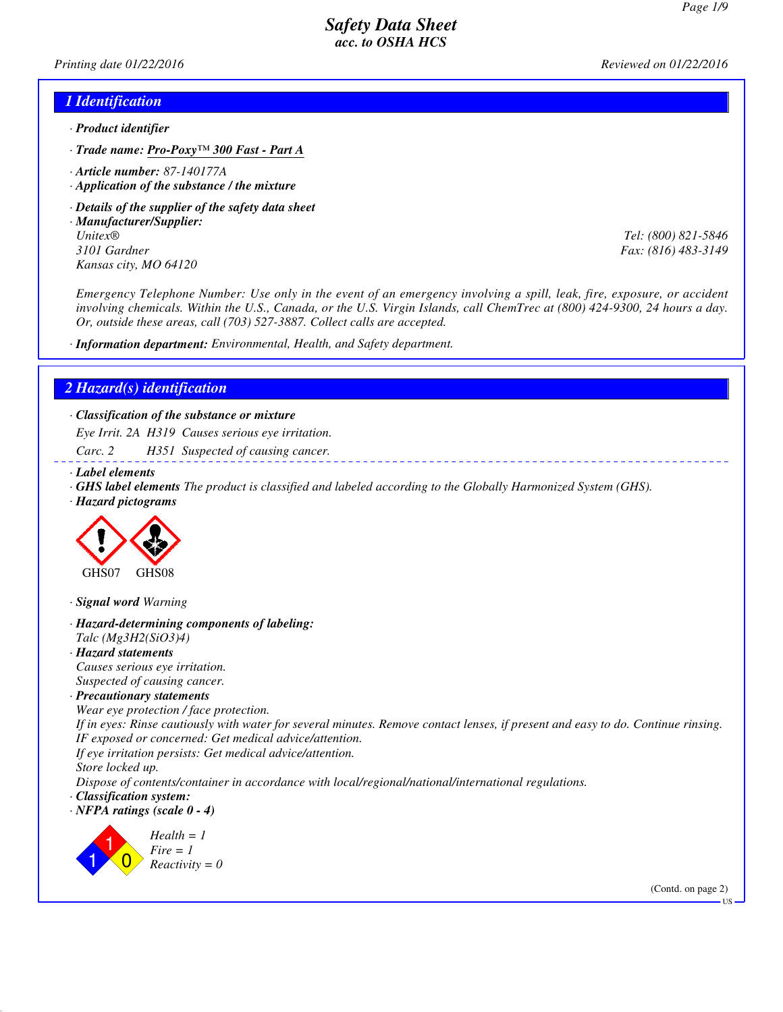*Printing date 01/22/2016 Reviewed on 01/22/2016*

### *1 Identification*

- *· Product identifier*
- *· Trade name: Pro-Poxy™ 300 Fast Part A*
- *· Article number: 87-140177A*
- *· Application of the substance / the mixture*
- *· Details of the supplier of the safety data sheet*
- *· Manufacturer/Supplier: Unitex® Tel: (800) 821-5846 3101 Gardner Fax: (816) 483-3149 Kansas city, MO 64120*

*Emergency Telephone Number: Use only in the event of an emergency involving a spill, leak, fire, exposure, or accident involving chemicals. Within the U.S., Canada, or the U.S. Virgin Islands, call ChemTrec at (800) 424-9300, 24 hours a day. Or, outside these areas, call (703) 527-3887. Collect calls are accepted.*

*· Information department: Environmental, Health, and Safety department.*

#### *2 Hazard(s) identification*

*· Classification of the substance or mixture*

*Eye Irrit. 2A H319 Causes serious eye irritation.*

*Carc. 2 H351 Suspected of causing cancer.*

*· Label elements*

- *· GHS label elements The product is classified and labeled according to the Globally Harmonized System (GHS).*
- *· Hazard pictograms*



*· Signal word Warning*

- *· Hazard-determining components of labeling: Talc (Mg3H2(SiO3)4)*
- *· Hazard statements Causes serious eye irritation. Suspected of causing cancer.*
- *· Precautionary statements*

*Wear eye protection / face protection. If in eyes: Rinse cautiously with water for several minutes. Remove contact lenses, if present and easy to do. Continue rinsing. IF exposed or concerned: Get medical advice/attention. If eye irritation persists: Get medical advice/attention. Store locked up.*

*Dispose of contents/container in accordance with local/regional/national/international regulations.*

*· Classification system:*

*· NFPA ratings (scale 0 - 4)*



(Contd. on page 2)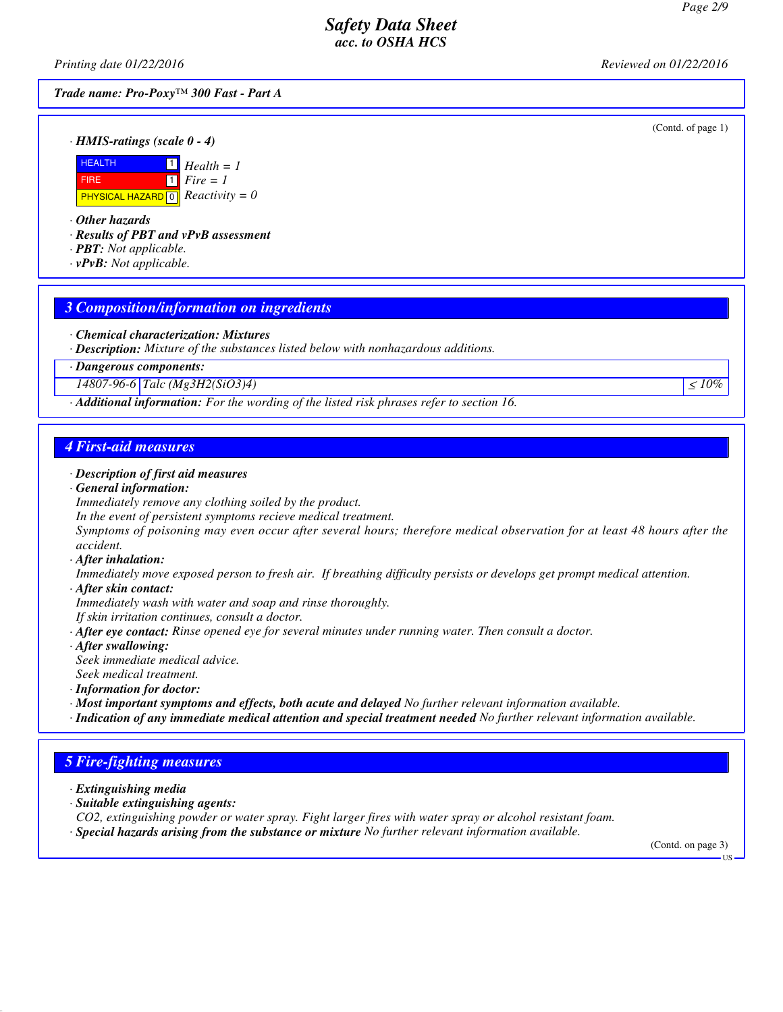*Printing date 01/22/2016 Reviewed on 01/22/2016*

*Trade name: Pro-Poxy™ 300 Fast - Part A*

(Contd. of page 1)



*· Other hazards*

*· Results of PBT and vPvB assessment*

- *· PBT: Not applicable.*
- *· vPvB: Not applicable.*

#### *3 Composition/information on ingredients*

- *· Chemical characterization: Mixtures*
- *· Description: Mixture of the substances listed below with nonhazardous additions.*

*· Dangerous components:*

*14807-96-6 Talc (Mg3H2(SiO3)4)* ≤ *10%* ≤ *10%* 

*· Additional information: For the wording of the listed risk phrases refer to section 16.*

#### *4 First-aid measures*

- *· Description of first aid measures*
- *· General information:*

*Immediately remove any clothing soiled by the product.*

*In the event of persistent symptoms recieve medical treatment.*

*Symptoms of poisoning may even occur after several hours; therefore medical observation for at least 48 hours after the accident.*

*· After inhalation:*

*Immediately move exposed person to fresh air. If breathing difficulty persists or develops get prompt medical attention.*

*· After skin contact:*

*Immediately wash with water and soap and rinse thoroughly.*

*If skin irritation continues, consult a doctor.*

*· After eye contact: Rinse opened eye for several minutes under running water. Then consult a doctor.*

*· After swallowing:*

*Seek immediate medical advice.*

- *Seek medical treatment.*
- *· Information for doctor:*
- *· Most important symptoms and effects, both acute and delayed No further relevant information available.*
- *· Indication of any immediate medical attention and special treatment needed No further relevant information available.*

# *5 Fire-fighting measures*

*· Extinguishing media*

- *· Suitable extinguishing agents:*
- *CO2, extinguishing powder or water spray. Fight larger fires with water spray or alcohol resistant foam.*
- *· Special hazards arising from the substance or mixture No further relevant information available.*

(Contd. on page 3)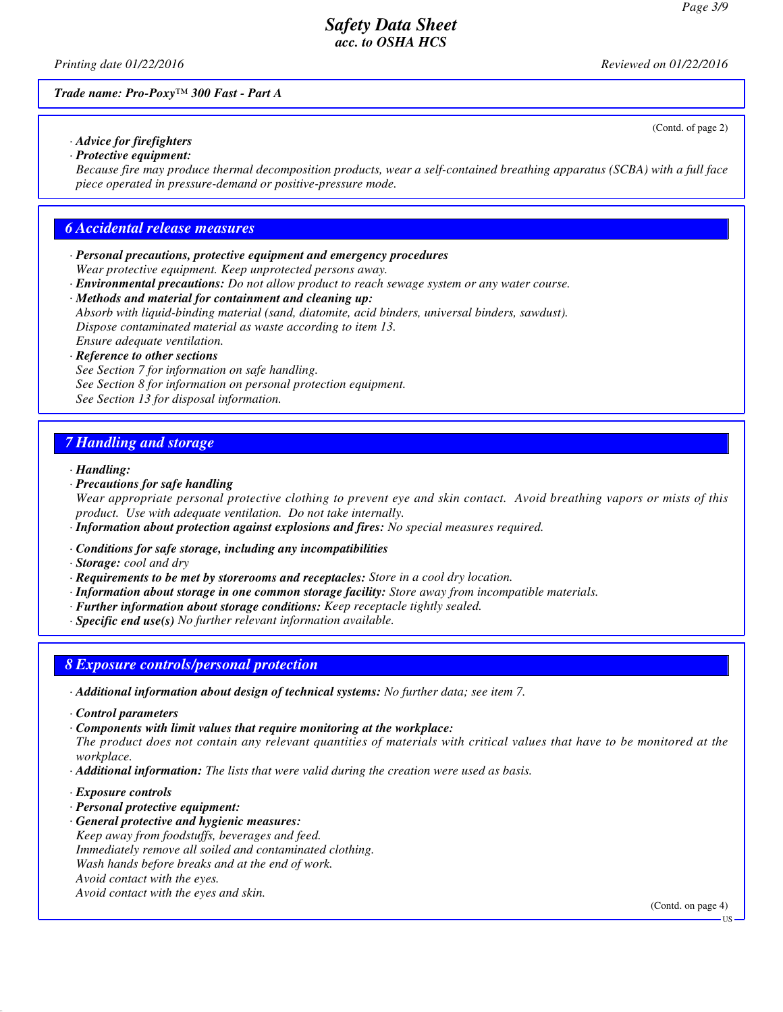*Printing date 01/22/2016 Reviewed on 01/22/2016*

(Contd. of page 2)

*Trade name: Pro-Poxy™ 300 Fast - Part A*

*· Advice for firefighters · Protective equipment:*

*Because fire may produce thermal decomposition products, wear a self-contained breathing apparatus (SCBA) with a full face piece operated in pressure-demand or positive-pressure mode.*

### *6 Accidental release measures*

- *· Personal precautions, protective equipment and emergency procedures Wear protective equipment. Keep unprotected persons away.*
- *· Environmental precautions: Do not allow product to reach sewage system or any water course.*
- *· Methods and material for containment and cleaning up: Absorb with liquid-binding material (sand, diatomite, acid binders, universal binders, sawdust). Dispose contaminated material as waste according to item 13. Ensure adequate ventilation.*
- *· Reference to other sections See Section 7 for information on safe handling. See Section 8 for information on personal protection equipment. See Section 13 for disposal information.*

## *7 Handling and storage*

#### *· Handling:*

*· Precautions for safe handling*

*Wear appropriate personal protective clothing to prevent eye and skin contact. Avoid breathing vapors or mists of this product. Use with adequate ventilation. Do not take internally.*

- *· Information about protection against explosions and fires: No special measures required.*
- *· Conditions for safe storage, including any incompatibilities*

*· Storage: cool and dry*

- *· Requirements to be met by storerooms and receptacles: Store in a cool dry location.*
- *· Information about storage in one common storage facility: Store away from incompatible materials.*
- *· Further information about storage conditions: Keep receptacle tightly sealed.*
- *· Specific end use(s) No further relevant information available.*

### *8 Exposure controls/personal protection*

- *· Additional information about design of technical systems: No further data; see item 7.*
- *· Control parameters*

*· Components with limit values that require monitoring at the workplace: The product does not contain any relevant quantities of materials with critical values that have to be monitored at the workplace.*

- *· Additional information: The lists that were valid during the creation were used as basis.*
- *· Exposure controls*
- *· Personal protective equipment:*
- *· General protective and hygienic measures: Keep away from foodstuffs, beverages and feed. Immediately remove all soiled and contaminated clothing. Wash hands before breaks and at the end of work. Avoid contact with the eyes. Avoid contact with the eyes and skin.*

(Contd. on page 4)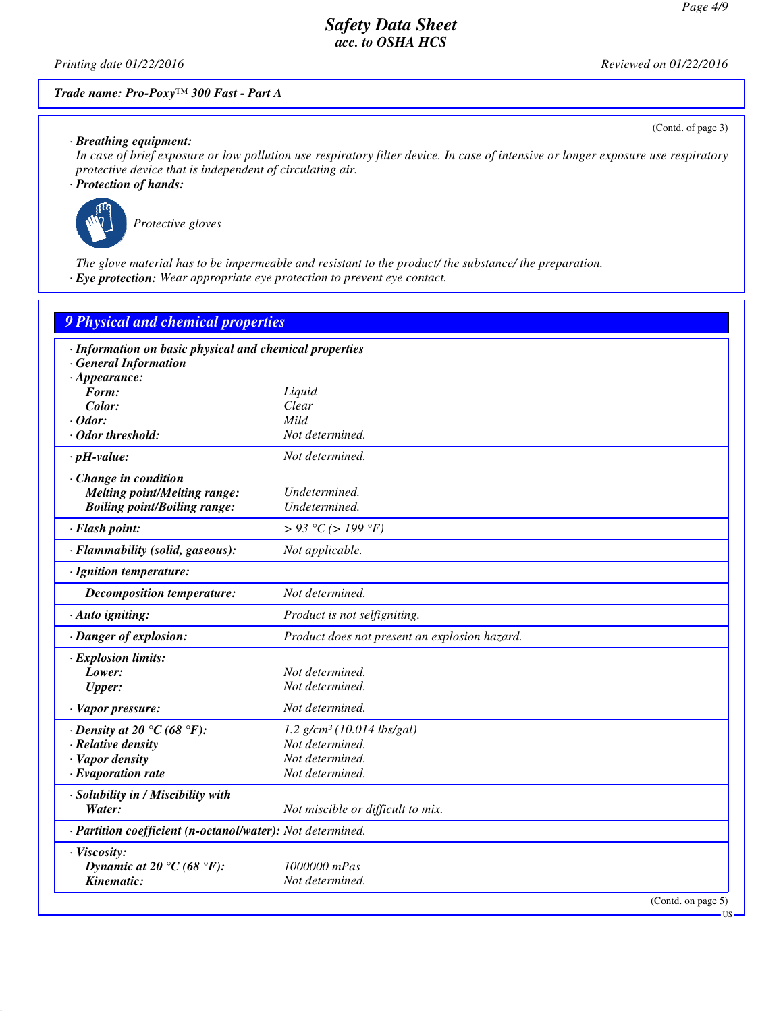*Printing date 01/22/2016 Reviewed on 01/22/2016*

(Contd. of page 3)

### *Trade name: Pro-Poxy™ 300 Fast - Part A*

*· Breathing equipment:*

*In case of brief exposure or low pollution use respiratory filter device. In case of intensive or longer exposure use respiratory protective device that is independent of circulating air.*

*· Protection of hands:*



*Protective gloves*

*The glove material has to be impermeable and resistant to the product/ the substance/ the preparation. · Eye protection: Wear appropriate eye protection to prevent eye contact.*

| 9 Physical and chemical properties                         |                                               |  |
|------------------------------------------------------------|-----------------------------------------------|--|
| · Information on basic physical and chemical properties    |                                               |  |
| <b>General Information</b>                                 |                                               |  |
| $\cdot$ Appearance:                                        |                                               |  |
| Form:                                                      | Liquid                                        |  |
| Color:                                                     | Clear                                         |  |
| $\cdot$ Odor:                                              | Mild                                          |  |
| · Odor threshold:                                          | Not determined.                               |  |
| $\cdot$ pH-value:                                          | Not determined.                               |  |
| Change in condition                                        |                                               |  |
| <b>Melting point/Melting range:</b>                        | Undetermined.                                 |  |
| <b>Boiling point/Boiling range:</b>                        | Undetermined.                                 |  |
| · Flash point:                                             | > 93 °C (> 199 °F)                            |  |
| · Flammability (solid, gaseous):                           | Not applicable.                               |  |
| · Ignition temperature:                                    |                                               |  |
| <b>Decomposition temperature:</b>                          | Not determined.                               |  |
| · Auto igniting:                                           | Product is not selfigniting.                  |  |
| · Danger of explosion:                                     | Product does not present an explosion hazard. |  |
| · Explosion limits:                                        |                                               |  |
| Lower:                                                     | Not determined.                               |  |
| <b>Upper:</b>                                              | Not determined.                               |  |
| · Vapor pressure:                                          | Not determined.                               |  |
| $\cdot$ Density at 20 °C (68 °F):                          | $1.2$ g/cm <sup>3</sup> (10.014 lbs/gal)      |  |
| · Relative density                                         | Not determined.                               |  |
| · Vapor density                                            | Not determined.                               |  |
| $\cdot$ Evaporation rate                                   | Not determined.                               |  |
| · Solubility in / Miscibility with                         |                                               |  |
| Water:                                                     | Not miscible or difficult to mix.             |  |
| · Partition coefficient (n-octanol/water): Not determined. |                                               |  |
| · Viscosity:                                               |                                               |  |
| Dynamic at 20 °C (68 °F):                                  | 1000000 mPas                                  |  |
| Kinematic:                                                 | Not determined.                               |  |
|                                                            | (Contd. on page 5)<br>US                      |  |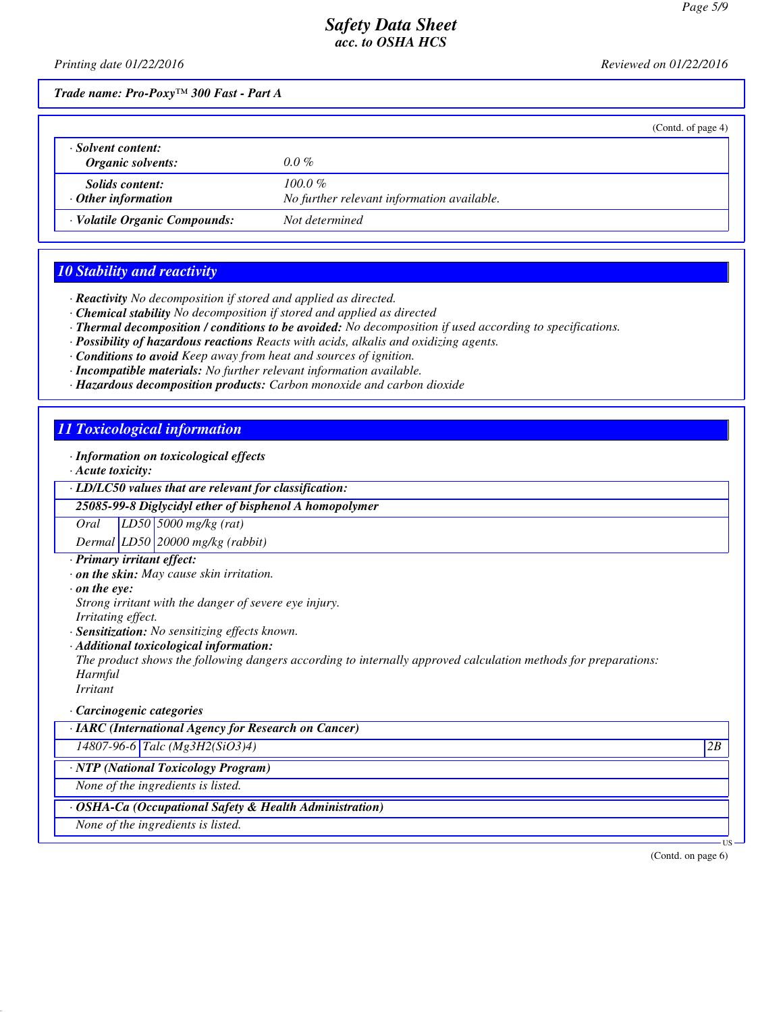*Printing date 01/22/2016 Reviewed on 01/22/2016*

*Trade name: Pro-Poxy™ 300 Fast - Part A*

|                                                     | (Contd. of page 4)                                       |
|-----------------------------------------------------|----------------------------------------------------------|
| · Solvent content:<br>Organic solvents:             | $0.0\%$                                                  |
| <i>Solids content:</i><br>$\cdot$ Other information | $100.0 \%$<br>No further relevant information available. |
| · Volatile Organic Compounds:                       | Not determined                                           |

## *10 Stability and reactivity*

*· Reactivity No decomposition if stored and applied as directed.*

- *· Chemical stability No decomposition if stored and applied as directed*
- *· Thermal decomposition / conditions to be avoided: No decomposition if used according to specifications.*
- *· Possibility of hazardous reactions Reacts with acids, alkalis and oxidizing agents.*
- *· Conditions to avoid Keep away from heat and sources of ignition.*
- *· Incompatible materials: No further relevant information available.*
- *· Hazardous decomposition products: Carbon monoxide and carbon dioxide*

### *11 Toxicological information*

*· Information on toxicological effects*

*· Acute toxicity:*

*· LD/LC50 values that are relevant for classification:*

*25085-99-8 Diglycidyl ether of bisphenol A homopolymer*

*Oral LD50 5000 mg/kg (rat)*

*Dermal LD50 20000 mg/kg (rabbit)*

- *· Primary irritant effect:*
- *· on the skin: May cause skin irritation.*

*· on the eye:*

*Strong irritant with the danger of severe eye injury. Irritating effect.*

*· Sensitization: No sensitizing effects known.*

*· Additional toxicological information:*

*The product shows the following dangers according to internally approved calculation methods for preparations: Harmful*

*Irritant*

*· Carcinogenic categories*

*· IARC (International Agency for Research on Cancer)*

*14807-96-6 Talc (Mg3H2(SiO3)4) 2B*

*· NTP (National Toxicology Program)*

*None of the ingredients is listed.*

*· OSHA-Ca (Occupational Safety & Health Administration)*

*None of the ingredients is listed.*

(Contd. on page 6)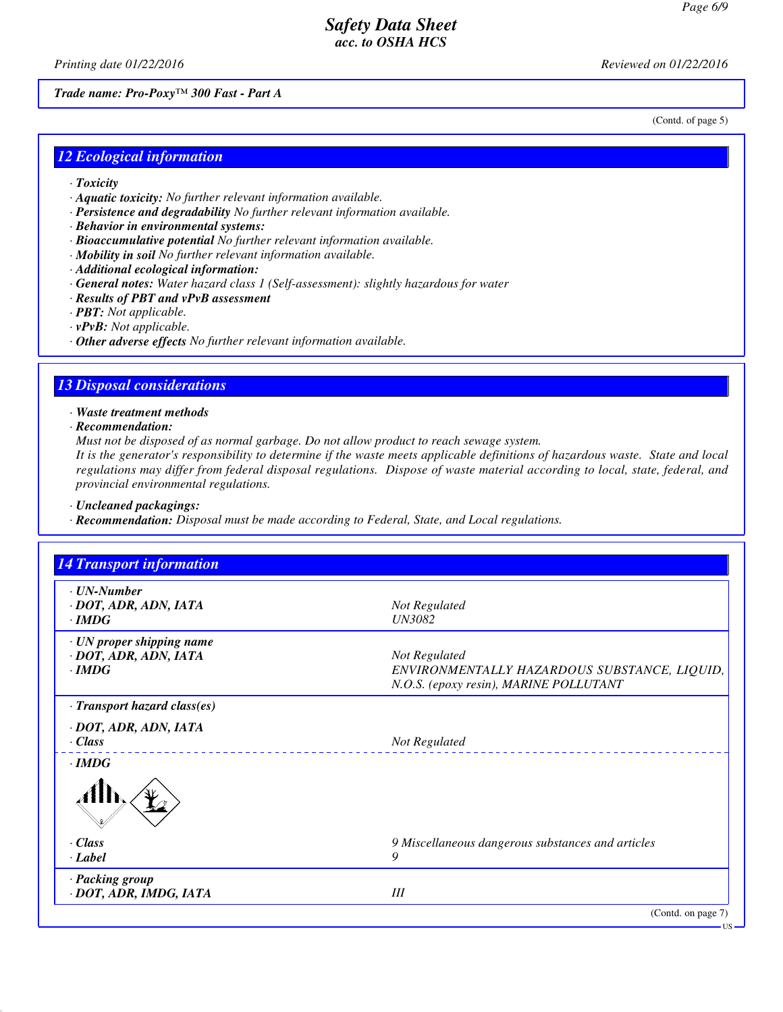(Contd. of page 5)

# *Safety Data Sheet acc. to OSHA HCS*

*Printing date 01/22/2016 Reviewed on 01/22/2016*

*Trade name: Pro-Poxy™ 300 Fast - Part A*

*12 Ecological information*

- *· Toxicity*
- *· Aquatic toxicity: No further relevant information available.*
- *· Persistence and degradability No further relevant information available.*
- *· Behavior in environmental systems:*
- *· Bioaccumulative potential No further relevant information available.*
- *· Mobility in soil No further relevant information available.*
- *· Additional ecological information:*
- *· General notes: Water hazard class 1 (Self-assessment): slightly hazardous for water*
- *· Results of PBT and vPvB assessment*
- *· PBT: Not applicable.*
- *· vPvB: Not applicable.*
- *· Other adverse effects No further relevant information available.*

#### *13 Disposal considerations*

*· Waste treatment methods*

*· Recommendation:*

*Must not be disposed of as normal garbage. Do not allow product to reach sewage system.*

*It is the generator's responsibility to determine if the waste meets applicable definitions of hazardous waste. State and local regulations may differ from federal disposal regulations. Dispose of waste material according to local, state, federal, and provincial environmental regulations.*

*· Uncleaned packagings:*

*· Recommendation: Disposal must be made according to Federal, State, and Local regulations.*

| <b>14 Transport information</b>                                    |                                                                                                         |
|--------------------------------------------------------------------|---------------------------------------------------------------------------------------------------------|
| $\cdot$ UN-Number<br>· DOT, ADR, ADN, IATA<br>$\cdot$ IMDG         | Not Regulated<br><b>UN3082</b>                                                                          |
| · UN proper shipping name<br>· DOT, ADR, ADN, IATA<br>$\cdot$ IMDG | Not Regulated<br>ENVIRONMENTALLY HAZARDOUS SUBSTANCE, LIQUID,<br>N.O.S. (epoxy resin), MARINE POLLUTANT |
| · Transport hazard class(es)                                       |                                                                                                         |
| · DOT, ADR, ADN, IATA<br>$\cdot$ Class                             | Not Regulated                                                                                           |
| $\cdot$ IMDG                                                       |                                                                                                         |
|                                                                    |                                                                                                         |
| · Class                                                            | 9 Miscellaneous dangerous substances and articles                                                       |
| · Label                                                            | 9                                                                                                       |
| · Packing group<br>· DOT, ADR, IMDG, IATA                          | III                                                                                                     |
|                                                                    | (Contd. on page 7)                                                                                      |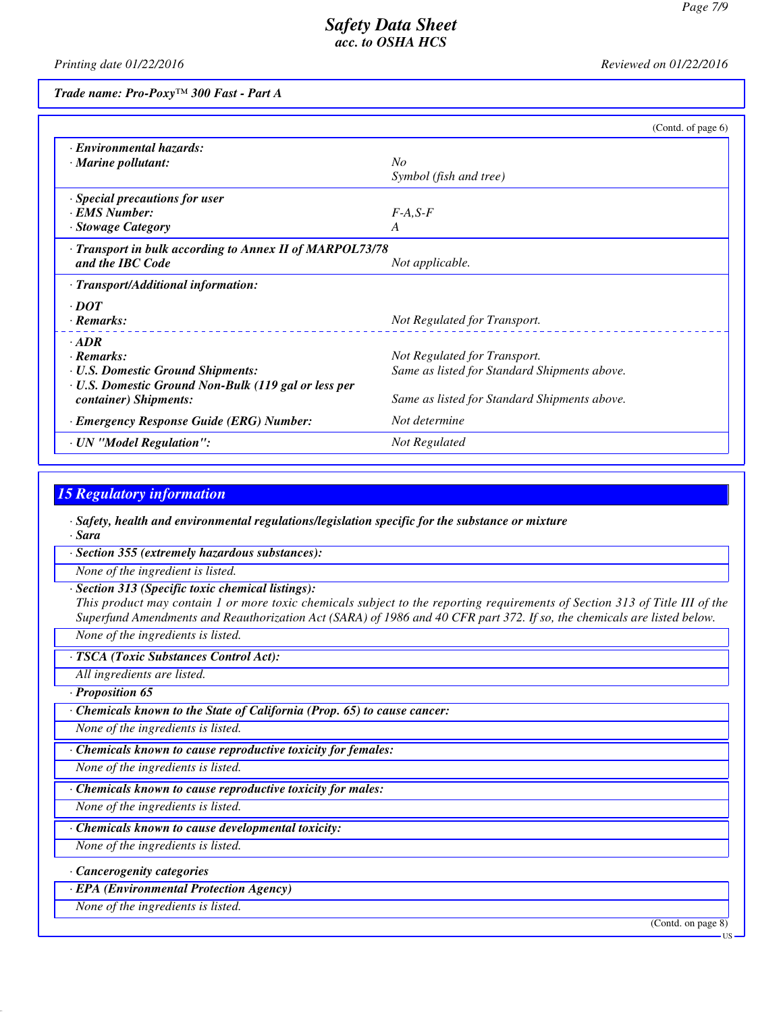*Printing date 01/22/2016 Reviewed on 01/22/2016*

*Trade name: Pro-Poxy™ 300 Fast - Part A*

|                                                          | (Contd. of page 6)                           |
|----------------------------------------------------------|----------------------------------------------|
| · Environmental hazards:                                 |                                              |
| · Marine pollutant:                                      | $N_{O}$                                      |
|                                                          | Symbol (fish and tree)                       |
| · Special precautions for user                           |                                              |
| <b>EMS</b> Number:                                       | $F-A, S-F$                                   |
| · Stowage Category                                       | A                                            |
| · Transport in bulk according to Annex II of MARPOL73/78 |                                              |
| and the IBC Code                                         | Not applicable.                              |
| · Transport/Additional information:                      |                                              |
| $\cdot$ DOT                                              |                                              |
| $\cdot$ Remarks:                                         | Not Regulated for Transport.                 |
| $\cdot$ ADR                                              |                                              |
| · Remarks:                                               | Not Regulated for Transport.                 |
| <b>· U.S. Domestic Ground Shipments:</b>                 | Same as listed for Standard Shipments above. |
| · U.S. Domestic Ground Non-Bulk (119 gal or less per     |                                              |
| container) Shipments:                                    | Same as listed for Standard Shipments above. |
| · Emergency Response Guide (ERG) Number:                 | Not determine                                |
| · UN "Model Regulation":                                 | Not Regulated                                |

# *15 Regulatory information*

*· Safety, health and environmental regulations/legislation specific for the substance or mixture · Sara*

*· Section 355 (extremely hazardous substances):*

*None of the ingredient is listed.*

*· Section 313 (Specific toxic chemical listings):*

*This product may contain 1 or more toxic chemicals subject to the reporting requirements of Section 313 of Title III of the Superfund Amendments and Reauthorization Act (SARA) of 1986 and 40 CFR part 372. If so, the chemicals are listed below.*

*None of the ingredients is listed.*

*· TSCA (Toxic Substances Control Act):*

*All ingredients are listed.*

*· Proposition 65*

*· Chemicals known to the State of California (Prop. 65) to cause cancer:*

*None of the ingredients is listed.*

*· Chemicals known to cause reproductive toxicity for females:*

*None of the ingredients is listed.*

*· Chemicals known to cause reproductive toxicity for males:*

*None of the ingredients is listed.*

*· Chemicals known to cause developmental toxicity:*

*None of the ingredients is listed.*

*· Cancerogenity categories*

*· EPA (Environmental Protection Agency)*

*None of the ingredients is listed.*

(Contd. on page 8)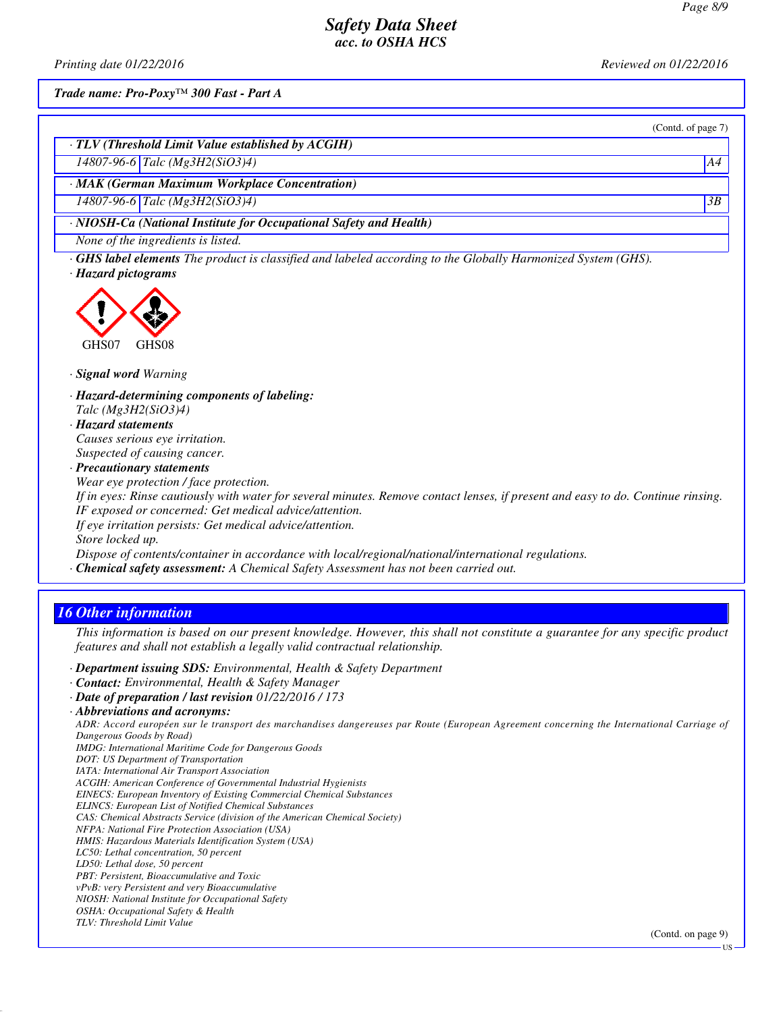*Printing date 01/22/2016 Reviewed on 01/22/2016*

(Contd. of page 7)

*Trade name: Pro-Poxy™ 300 Fast - Part A*

*· TLV (Threshold Limit Value established by ACGIH)*

*14807-96-6 Talc (Mg3H2(SiO3)4) A4*

*· MAK (German Maximum Workplace Concentration)*

*14807-96-6 Talc (Mg3H2(SiO3)4) 3B*

*· NIOSH-Ca (National Institute for Occupational Safety and Health)*

*None of the ingredients is listed.*

*· GHS label elements The product is classified and labeled according to the Globally Harmonized System (GHS).*

*· Hazard pictograms*



*· Signal word Warning*

- *· Hazard-determining components of labeling: Talc (Mg3H2(SiO3)4)*
- *· Hazard statements Causes serious eye irritation. Suspected of causing cancer.*

*· Precautionary statements*

*Wear eye protection / face protection.*

*If in eyes: Rinse cautiously with water for several minutes. Remove contact lenses, if present and easy to do. Continue rinsing. IF exposed or concerned: Get medical advice/attention.*

*If eye irritation persists: Get medical advice/attention.*

*Store locked up.*

*Dispose of contents/container in accordance with local/regional/national/international regulations.*

*· Chemical safety assessment: A Chemical Safety Assessment has not been carried out.*

# *16 Other information*

*This information is based on our present knowledge. However, this shall not constitute a guarantee for any specific product features and shall not establish a legally valid contractual relationship.*

*· Department issuing SDS: Environmental, Health & Safety Department*

- *· Contact: Environmental, Health & Safety Manager*
- *· Date of preparation / last revision 01/22/2016 / 173*

*ADR: Accord européen sur le transport des marchandises dangereuses par Route (European Agreement concerning the International Carriage of Dangerous Goods by Road)*

*IMDG: International Maritime Code for Dangerous Goods*

*DOT: US Department of Transportation*

*IATA: International Air Transport Association*

*ACGIH: American Conference of Governmental Industrial Hygienists EINECS: European Inventory of Existing Commercial Chemical Substances*

*ELINCS: European List of Notified Chemical Substances*

*CAS: Chemical Abstracts Service (division of the American Chemical Society)*

*NFPA: National Fire Protection Association (USA)*

*HMIS: Hazardous Materials Identification System (USA)*

*LC50: Lethal concentration, 50 percent*

*LD50: Lethal dose, 50 percent*

*PBT: Persistent, Bioaccumulative and Toxic vPvB: very Persistent and very Bioaccumulative*

*NIOSH: National Institute for Occupational Safety*

*OSHA: Occupational Safety & Health*

*TLV: Threshold Limit Value*

**TIS** 

*<sup>·</sup> Abbreviations and acronyms:*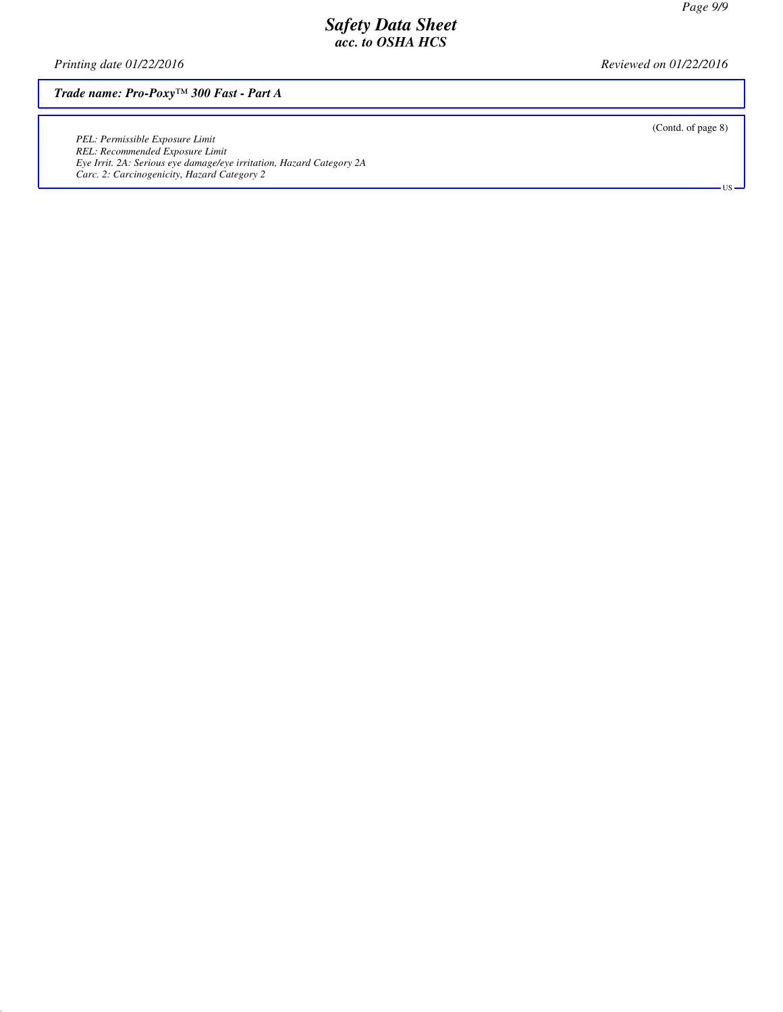*Printing date 01/22/2016 Reviewed on 01/22/2016*

*Trade name: Pro-Poxy™ 300 Fast - Part A*

*PEL: Permissible Exposure Limit REL: Recommended Exposure Limit Eye Irrit. 2A: Serious eye damage/eye irritation, Hazard Category 2A Carc. 2: Carcinogenicity, Hazard Category 2*

(Contd. of page 8)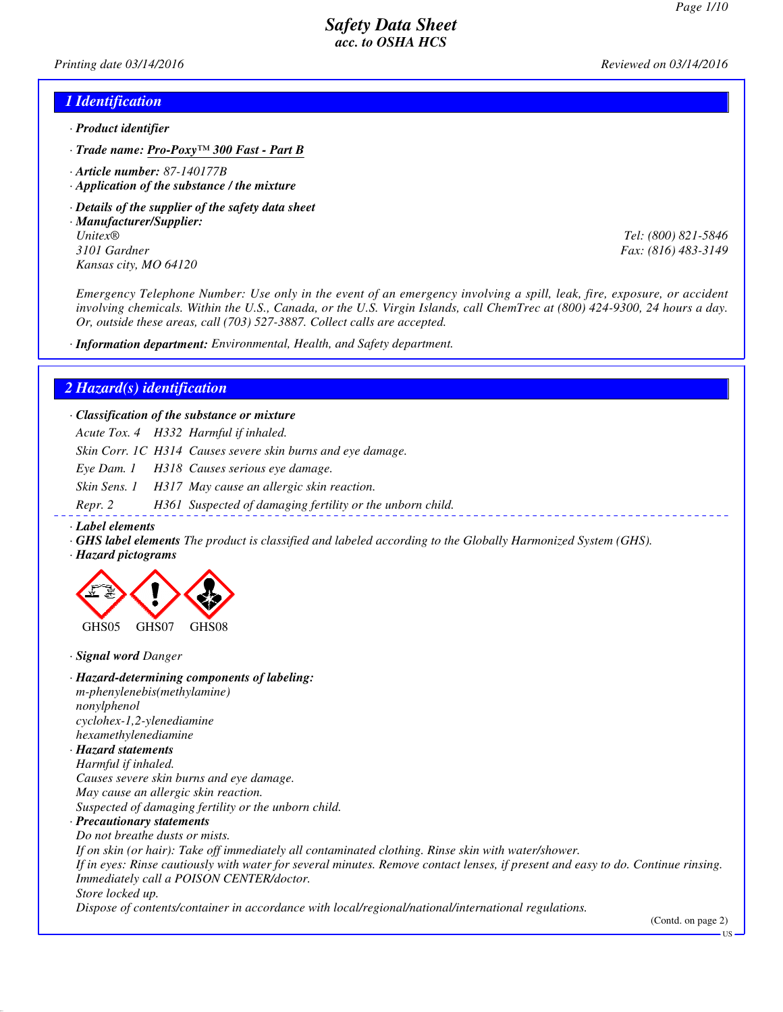*Printing date 03/14/2016 Reviewed on 03/14/2016*

#### *1 Identification*

- *· Product identifier*
- *· Trade name: Pro-Poxy™ 300 Fast Part B*
- *· Article number: 87-140177B*
- *· Application of the substance / the mixture*
- *· Details of the supplier of the safety data sheet*
- *· Manufacturer/Supplier: Unitex® Tel: (800) 821-5846 3101 Gardner Fax: (816) 483-3149 Kansas city, MO 64120*

*Emergency Telephone Number: Use only in the event of an emergency involving a spill, leak, fire, exposure, or accident involving chemicals. Within the U.S., Canada, or the U.S. Virgin Islands, call ChemTrec at (800) 424-9300, 24 hours a day. Or, outside these areas, call (703) 527-3887. Collect calls are accepted.*

*· Information department: Environmental, Health, and Safety department.*

#### *2 Hazard(s) identification*

*· Classification of the substance or mixture*

*Acute Tox. 4 H332 Harmful if inhaled.*

*Skin Corr. 1C H314 Causes severe skin burns and eye damage.*

*Eye Dam. 1 H318 Causes serious eye damage.*

*Skin Sens. 1 H317 May cause an allergic skin reaction.*

*Repr. 2 H361 Suspected of damaging fertility or the unborn child.*

- *· Label elements*
- *· GHS label elements The product is classified and labeled according to the Globally Harmonized System (GHS).*
- *· Hazard pictograms*



*· Signal word Danger*

*· Hazard-determining components of labeling: m-phenylenebis(methylamine) nonylphenol cyclohex-1,2-ylenediamine hexamethylenediamine*

*· Hazard statements Harmful if inhaled. Causes severe skin burns and eye damage. May cause an allergic skin reaction. Suspected of damaging fertility or the unborn child.*

*· Precautionary statements Do not breathe dusts or mists. If on skin (or hair): Take off immediately all contaminated clothing. Rinse skin with water/shower.*

*If in eyes: Rinse cautiously with water for several minutes. Remove contact lenses, if present and easy to do. Continue rinsing. Immediately call a POISON CENTER/doctor.*

*Store locked up.*

*Dispose of contents/container in accordance with local/regional/national/international regulations.*

(Contd. on page 2)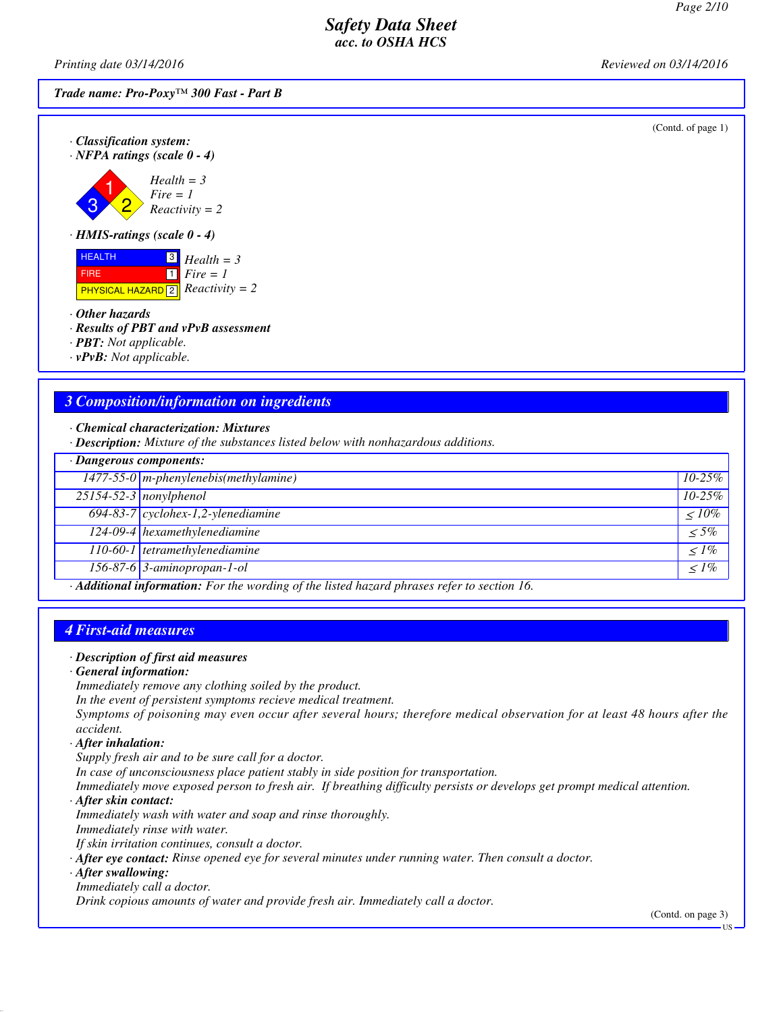*Printing date 03/14/2016 Reviewed on 03/14/2016*

*Trade name: Pro-Poxy™ 300 Fast - Part B*

(Contd. of page 1)



*· HMIS-ratings (scale 0 - 4)*

**HEALTH**  FIRE **PHYSICAL HAZARD** 2 3 *Health = 3*  $\overline{\mathbf{1}}$ *Fire = 1 Reactivity = 2*

*· Other hazards*

*· Results of PBT and vPvB assessment*

*· PBT: Not applicable.*

*· vPvB: Not applicable.*

### *3 Composition/information on ingredients*

*· Chemical characterization: Mixtures*

*· Description: Mixture of the substances listed below with nonhazardous additions.*

| · Dangerous components: |                                                                                            |              |
|-------------------------|--------------------------------------------------------------------------------------------|--------------|
|                         | $1477-55-0$ m-phenylenebis(methylamine)                                                    | $10 - 25\%$  |
|                         | $25154 - 52 - 3$ nonylphenol                                                               | $10 - 25\%$  |
|                         | $\boxed{694-83-7}$ cyclohex-1,2-ylenediamine                                               | $\leq 10\%$  |
|                         | 124-09-4 hexamethylenediamine                                                              | $\leq 5\%$   |
|                         | 110-60-1 tetramethylenediamine                                                             | $\langle$ 1% |
|                         | 156-87-6 3-aminopropan-1-ol                                                                | $\leq$ 1%    |
|                         | Additional informations. Fourthe wouding of the lighted becaud physics usfeate continue 16 |              |

*· Additional information: For the wording of the listed hazard phrases refer to section 16.*

### *4 First-aid measures*

#### *· Description of first aid measures*

#### *· General information:*

*Immediately remove any clothing soiled by the product.*

*In the event of persistent symptoms recieve medical treatment.*

*Symptoms of poisoning may even occur after several hours; therefore medical observation for at least 48 hours after the accident.*

*· After inhalation:*

*Supply fresh air and to be sure call for a doctor.*

*In case of unconsciousness place patient stably in side position for transportation.*

*Immediately move exposed person to fresh air. If breathing difficulty persists or develops get prompt medical attention.*

*· After skin contact:*

*Immediately wash with water and soap and rinse thoroughly.*

*Immediately rinse with water.*

*If skin irritation continues, consult a doctor.*

*· After eye contact: Rinse opened eye for several minutes under running water. Then consult a doctor.*

*· After swallowing:*

#### *Immediately call a doctor.*

*Drink copious amounts of water and provide fresh air. Immediately call a doctor.*

(Contd. on page 3)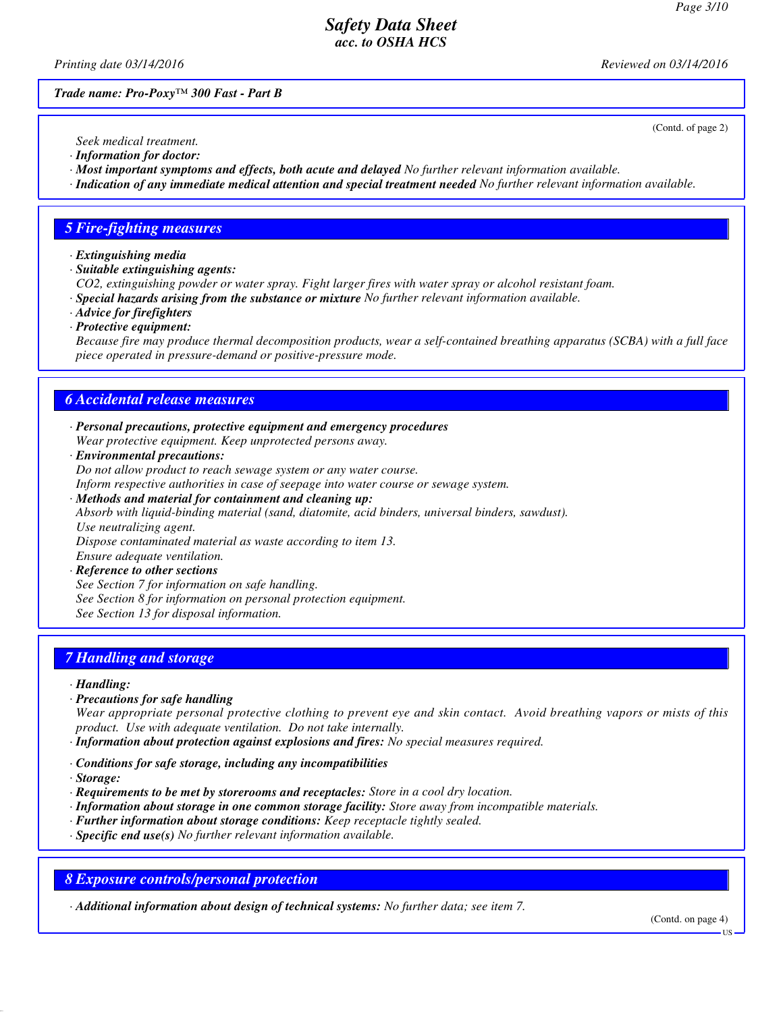(Contd. of page 2)

### *Safety Data Sheet acc. to OSHA HCS*

*Printing date 03/14/2016 Reviewed on 03/14/2016*

*Trade name: Pro-Poxy™ 300 Fast - Part B*

*Seek medical treatment.*

- *· Information for doctor: · Most important symptoms and effects, both acute and delayed No further relevant information available.*
- *· Indication of any immediate medical attention and special treatment needed No further relevant information available.*

### *5 Fire-fighting measures*

- *· Extinguishing media*
- *· Suitable extinguishing agents:*

*CO2, extinguishing powder or water spray. Fight larger fires with water spray or alcohol resistant foam.*

- *· Special hazards arising from the substance or mixture No further relevant information available.*
- *· Advice for firefighters*
- *· Protective equipment:*

*Because fire may produce thermal decomposition products, wear a self-contained breathing apparatus (SCBA) with a full face piece operated in pressure-demand or positive-pressure mode.*

#### *6 Accidental release measures*

- *· Personal precautions, protective equipment and emergency procedures Wear protective equipment. Keep unprotected persons away.*
- *· Environmental precautions:*

*Do not allow product to reach sewage system or any water course.*

*Inform respective authorities in case of seepage into water course or sewage system.*

*· Methods and material for containment and cleaning up:*

*Absorb with liquid-binding material (sand, diatomite, acid binders, universal binders, sawdust). Use neutralizing agent.*

*Dispose contaminated material as waste according to item 13. Ensure adequate ventilation.*

*· Reference to other sections*

*See Section 7 for information on safe handling.*

*See Section 8 for information on personal protection equipment.*

*See Section 13 for disposal information.*

# *7 Handling and storage*

#### *· Handling:*

*· Precautions for safe handling*

*Wear appropriate personal protective clothing to prevent eye and skin contact. Avoid breathing vapors or mists of this product. Use with adequate ventilation. Do not take internally.*

- *· Information about protection against explosions and fires: No special measures required.*
- *· Conditions for safe storage, including any incompatibilities*
- *· Storage:*
- *· Requirements to be met by storerooms and receptacles: Store in a cool dry location.*
- *· Information about storage in one common storage facility: Store away from incompatible materials.*
- *· Further information about storage conditions: Keep receptacle tightly sealed.*
- *· Specific end use(s) No further relevant information available.*

### *8 Exposure controls/personal protection*

*· Additional information about design of technical systems: No further data; see item 7.*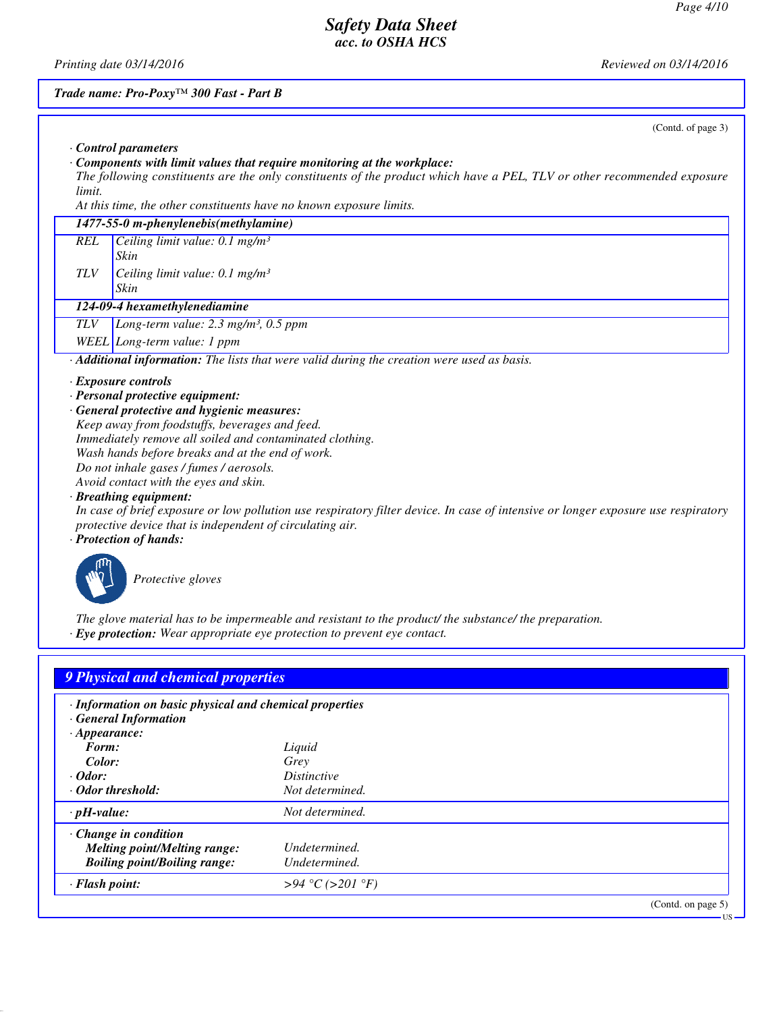US

# *Safety Data Sheet acc. to OSHA HCS*

*Printing date 03/14/2016 Reviewed on 03/14/2016*

# *Trade name: Pro-Poxy™ 300 Fast - Part B*

|            | (Contd. of page 3)                                                                                                                |
|------------|-----------------------------------------------------------------------------------------------------------------------------------|
|            | Control parameters                                                                                                                |
|            | Components with limit values that require monitoring at the workplace:                                                            |
|            | The following constituents are the only constituents of the product which have a PEL, TLV or other recommended exposure           |
| limit.     |                                                                                                                                   |
|            | At this time, the other constituents have no known exposure limits.                                                               |
|            | 1477-55-0 m-phenylenebis(methylamine)                                                                                             |
| <b>REL</b> | Ceiling limit value: $0.1$ mg/m <sup>3</sup>                                                                                      |
|            | Skin                                                                                                                              |
| <b>TLV</b> | Ceiling limit value: $0.1$ mg/m <sup>3</sup>                                                                                      |
|            | Skin                                                                                                                              |
|            | 124-09-4 hexamethylenediamine                                                                                                     |
|            |                                                                                                                                   |
| TLV        | Long-term value: $2.3$ mg/m <sup>3</sup> , 0.5 ppm                                                                                |
|            | WEEL Long-term value: 1 ppm                                                                                                       |
|            | Additional information: The lists that were valid during the creation were used as basis.                                         |
|            | $\cdot$ Exposure controls                                                                                                         |
|            | · Personal protective equipment:                                                                                                  |
|            | · General protective and hygienic measures:                                                                                       |
|            | Keep away from foodstuffs, beverages and feed.                                                                                    |
|            | Immediately remove all soiled and contaminated clothing.                                                                          |
|            | Wash hands before breaks and at the end of work.                                                                                  |
|            | Do not inhale gases / fumes / aerosols.                                                                                           |
|            | Avoid contact with the eyes and skin.                                                                                             |
|            | · Breathing equipment:                                                                                                            |
|            | In case of brief exposure or low pollution use respiratory filter device. In case of intensive or longer exposure use respiratory |
|            | protective device that is independent of circulating air.                                                                         |
|            | · Protection of hands:                                                                                                            |
|            | Protective gloves                                                                                                                 |

*The glove material has to be impermeable and resistant to the product/ the substance/ the preparation. · Eye protection: Wear appropriate eye protection to prevent eye contact.*

| 9 Physical and chemical properties                                                    |                    |                    |
|---------------------------------------------------------------------------------------|--------------------|--------------------|
| · Information on basic physical and chemical properties<br><b>General Information</b> |                    |                    |
| $\cdot$ Appearance:                                                                   |                    |                    |
| Form:                                                                                 | Liquid             |                    |
| Color:                                                                                | Grey               |                    |
| $\cdot$ Odor:                                                                         | <i>Distinctive</i> |                    |
| · Odor threshold:                                                                     | Not determined.    |                    |
| $\cdot$ pH-value:                                                                     | Not determined.    |                    |
| $\cdot$ Change in condition                                                           |                    |                    |
| <b>Melting point/Melting range:</b>                                                   | Undetermined.      |                    |
| <b>Boiling point/Boiling range:</b>                                                   | Undetermined.      |                    |
| · Flash point:                                                                        | >94 °C (>201 °F)   |                    |
|                                                                                       |                    | (Contd. on page 5) |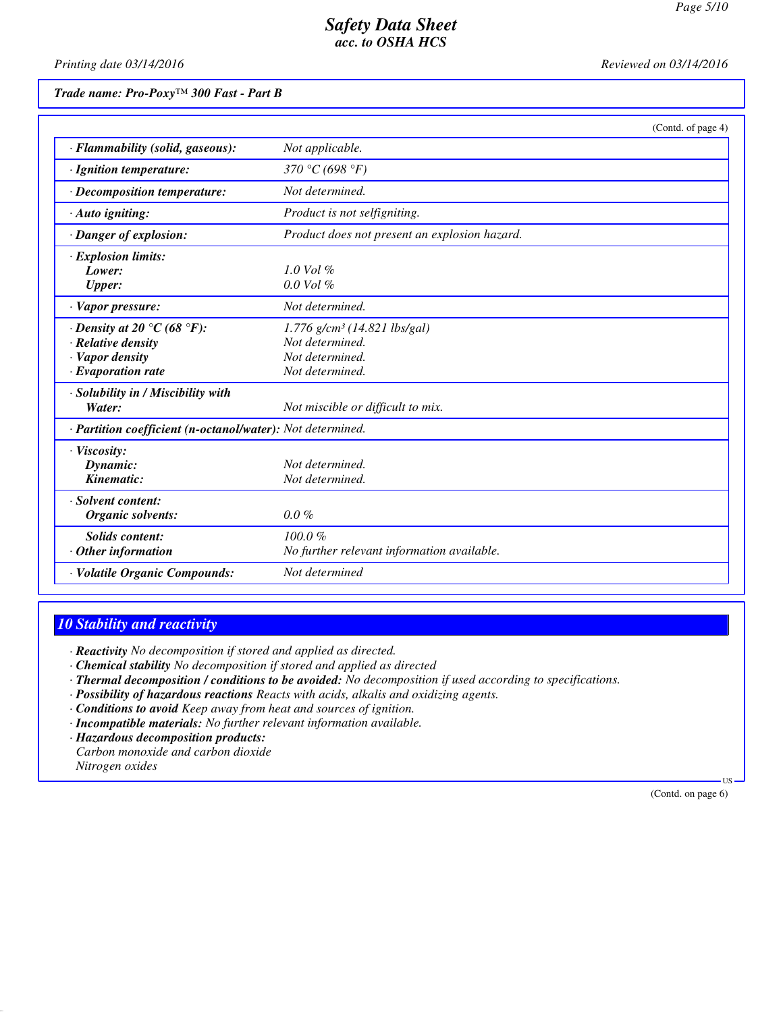*Printing date 03/14/2016 Reviewed on 03/14/2016*

*Trade name: Pro-Poxy™ 300 Fast - Part B*

|                                                                                                                          |                                                                                                     | (Contd. of page 4) |
|--------------------------------------------------------------------------------------------------------------------------|-----------------------------------------------------------------------------------------------------|--------------------|
| · Flammability (solid, gaseous):                                                                                         | Not applicable.                                                                                     |                    |
| · Ignition temperature:                                                                                                  | 370 °C (698 °F)                                                                                     |                    |
| · Decomposition temperature:                                                                                             | Not determined.                                                                                     |                    |
| $\cdot$ Auto igniting:                                                                                                   | Product is not selfigniting.                                                                        |                    |
| $\cdot$ Danger of explosion:                                                                                             | Product does not present an explosion hazard.                                                       |                    |
| · Explosion limits:<br>Lower:<br><b>Upper:</b>                                                                           | $1.0$ Vol $%$<br>$0.0$ Vol $%$                                                                      |                    |
| · Vapor pressure:                                                                                                        | Not determined.                                                                                     |                    |
| $\cdot$ Density at 20 $\degree$ C (68 $\degree$ F):<br>· Relative density<br>· Vapor density<br>$\cdot$ Evaporation rate | $1.776$ g/cm <sup>3</sup> (14.821 lbs/gal)<br>Not determined.<br>Not determined.<br>Not determined. |                    |
| · Solubility in / Miscibility with<br>Water:                                                                             | Not miscible or difficult to mix.                                                                   |                    |
| · Partition coefficient (n-octanol/water): Not determined.                                                               |                                                                                                     |                    |
| · Viscosity:<br>Dynamic:<br>Kinematic:                                                                                   | Not determined.<br>Not determined.                                                                  |                    |
| · Solvent content:<br>Organic solvents:                                                                                  | $0.0\%$                                                                                             |                    |
| <b>Solids</b> content:<br>$\cdot$ Other information                                                                      | $100.0 \%$<br>No further relevant information available.                                            |                    |
| · Volatile Organic Compounds:                                                                                            | Not determined                                                                                      |                    |

# *10 Stability and reactivity*

*· Reactivity No decomposition if stored and applied as directed.*

- *· Chemical stability No decomposition if stored and applied as directed*
- *· Thermal decomposition / conditions to be avoided: No decomposition if used according to specifications.*
- *· Possibility of hazardous reactions Reacts with acids, alkalis and oxidizing agents.*
- *· Conditions to avoid Keep away from heat and sources of ignition.*
- *· Incompatible materials: No further relevant information available.*
- *· Hazardous decomposition products: Carbon monoxide and carbon dioxide Nitrogen oxides*

(Contd. on page 6)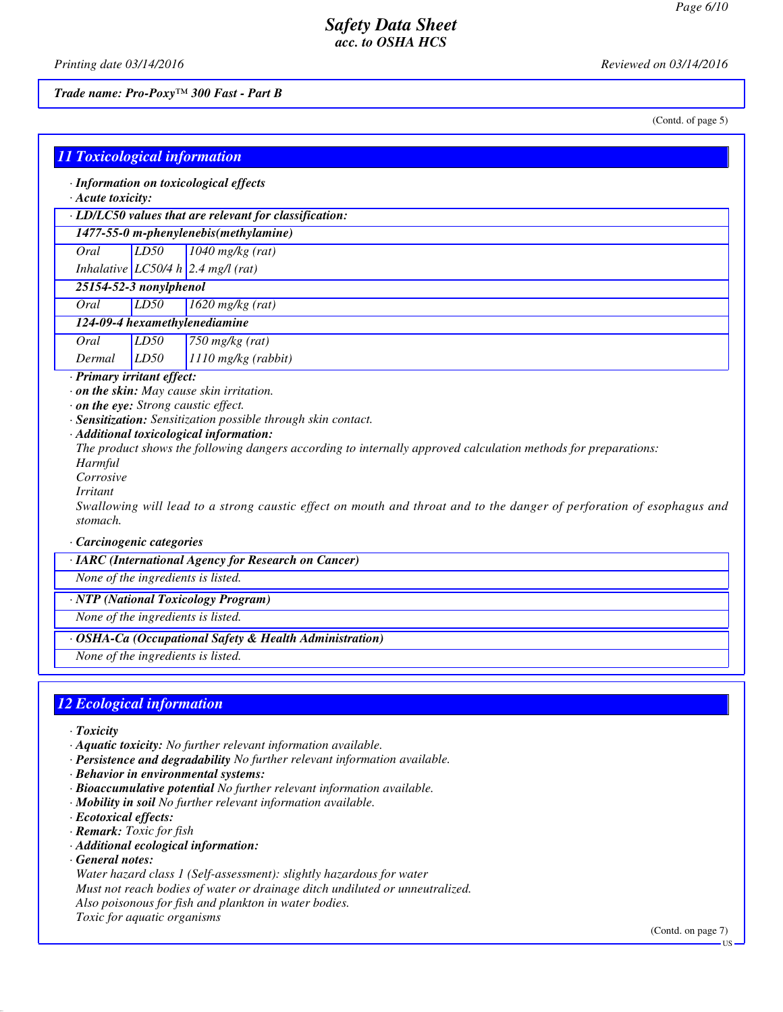*Printing date 03/14/2016 Reviewed on 03/14/2016*

*Trade name: Pro-Poxy™ 300 Fast - Part B*

(Contd. of page 5)

| <b>11 Toxicological information</b> |  |  |
|-------------------------------------|--|--|
|                                     |  |  |
|                                     |  |  |

*· Information on toxicological effects*

*· Acute toxicity:*

*· LD/LC50 values that are relevant for classification:*

*1477-55-0 m-phenylenebis(methylamine)*

*Oral LD50 1040 mg/kg (rat)*

*Inhalative LC50/4 h 2.4 mg/l (rat)*

- *25154-52-3 nonylphenol*
- *Oral LD50 1620 mg/kg (rat)*

*124-09-4 hexamethylenediamine*

*Oral LD50 750 mg/kg (rat) Dermal LD50 1110 mg/kg (rabbit)*

*· Primary irritant effect:*

- *· on the skin: May cause skin irritation.*
- *· on the eye: Strong caustic effect.*
- *· Sensitization: Sensitization possible through skin contact.*
- *· Additional toxicological information:*

*The product shows the following dangers according to internally approved calculation methods for preparations:*

- *Harmful Corrosive*
- *Irritant*

*Swallowing will lead to a strong caustic effect on mouth and throat and to the danger of perforation of esophagus and stomach.*

*· Carcinogenic categories*

*· IARC (International Agency for Research on Cancer)*

*None of the ingredients is listed.*

*· NTP (National Toxicology Program)*

*None of the ingredients is listed.*

*· OSHA-Ca (Occupational Safety & Health Administration)*

*None of the ingredients is listed.*

# *12 Ecological information*

- *· Toxicity*
- *· Aquatic toxicity: No further relevant information available.*
- *· Persistence and degradability No further relevant information available.*
- *· Behavior in environmental systems:*
- *· Bioaccumulative potential No further relevant information available.*
- *· Mobility in soil No further relevant information available.*
- *· Ecotoxical effects:*
- *· Remark: Toxic for fish*
- *· Additional ecological information:*
- *· General notes:*

*Water hazard class 1 (Self-assessment): slightly hazardous for water*

*Must not reach bodies of water or drainage ditch undiluted or unneutralized.*

*Also poisonous for fish and plankton in water bodies.*

*Toxic for aquatic organisms*

(Contd. on page 7)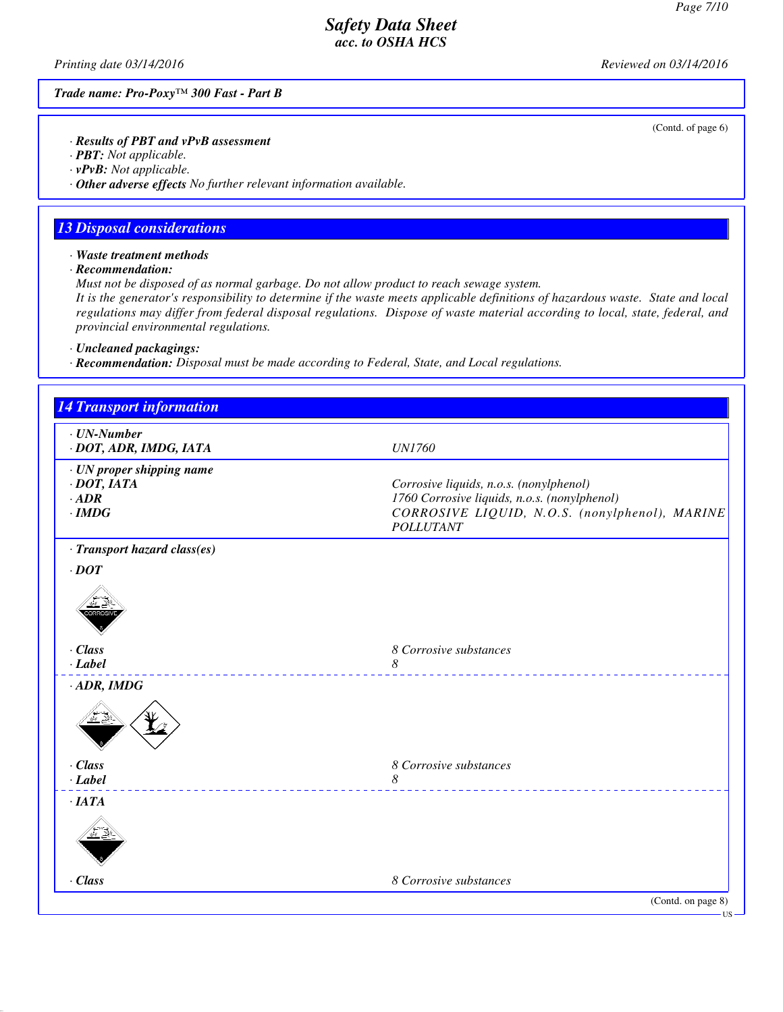(Contd. of page 6)

US

# *Safety Data Sheet acc. to OSHA HCS*

*Printing date 03/14/2016 Reviewed on 03/14/2016*

*Trade name: Pro-Poxy™ 300 Fast - Part B*

*· Results of PBT and vPvB assessment*

*· PBT: Not applicable.*

*· vPvB: Not applicable.*

*· Other adverse effects No further relevant information available.*

### *13 Disposal considerations*

*· Waste treatment methods*

*· Recommendation:*

*Must not be disposed of as normal garbage. Do not allow product to reach sewage system.*

*It is the generator's responsibility to determine if the waste meets applicable definitions of hazardous waste. State and local regulations may differ from federal disposal regulations. Dispose of waste material according to local, state, federal, and provincial environmental regulations.*

*· Uncleaned packagings:*

*· Recommendation: Disposal must be made according to Federal, State, and Local regulations.*

| <b>14 Transport information</b>                                               |                                                                                                                                                               |
|-------------------------------------------------------------------------------|---------------------------------------------------------------------------------------------------------------------------------------------------------------|
| $\cdot$ UN-Number<br>· DOT, ADR, IMDG, IATA                                   | <b>UN1760</b>                                                                                                                                                 |
| · UN proper shipping name<br>$\cdot$ DOT, IATA<br>$\cdot$ ADR<br>$\cdot$ IMDG | Corrosive liquids, n.o.s. (nonylphenol)<br>1760 Corrosive liquids, n.o.s. (nonylphenol)<br>CORROSIVE LIQUID, N.O.S. (nonylphenol), MARINE<br><b>POLLUTANT</b> |
| · Transport hazard class(es)                                                  |                                                                                                                                                               |
| $\cdot$ DOT                                                                   |                                                                                                                                                               |
|                                                                               |                                                                                                                                                               |
| · Class                                                                       | 8 Corrosive substances                                                                                                                                        |
| $-Label$                                                                      | 8                                                                                                                                                             |
| $\cdot$ ADR, IMDG                                                             |                                                                                                                                                               |
| · Class                                                                       | 8 Corrosive substances                                                                                                                                        |
| $-Label$                                                                      | 8                                                                                                                                                             |
| ·IATA                                                                         |                                                                                                                                                               |
| · Class                                                                       | 8 Corrosive substances                                                                                                                                        |
|                                                                               | (Contd. on page 8)                                                                                                                                            |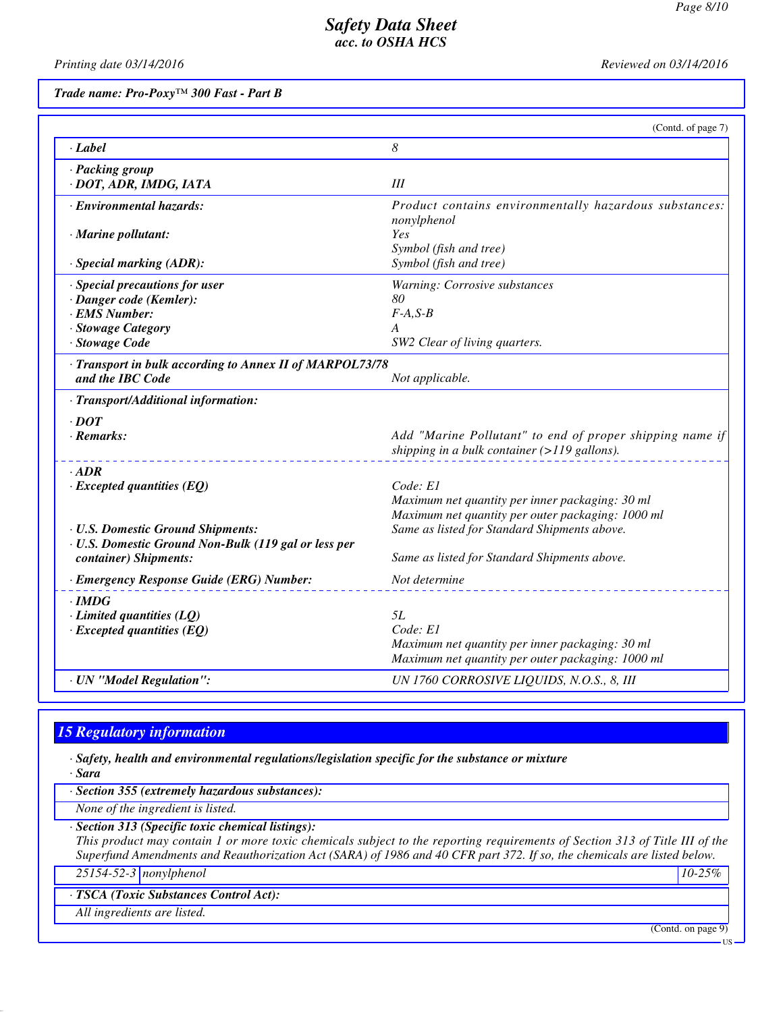*Printing date 03/14/2016 Reviewed on 03/14/2016*

*Trade name: Pro-Poxy™ 300 Fast - Part B*

|                                                          | (Contd. of page 7)                                                                                         |
|----------------------------------------------------------|------------------------------------------------------------------------------------------------------------|
| $\cdot$ <i>Label</i>                                     | 8                                                                                                          |
| · Packing group<br>· DOT, ADR, IMDG, IATA                | III                                                                                                        |
| · Environmental hazards:                                 | Product contains environmentally hazardous substances:<br>nonylphenol                                      |
| · Marine pollutant:                                      | Yes<br>Symbol (fish and tree)                                                                              |
| · Special marking (ADR):                                 | Symbol (fish and tree)                                                                                     |
| · Special precautions for user                           | Warning: Corrosive substances                                                                              |
| · Danger code (Kemler):                                  | 80                                                                                                         |
| · EMS Number:                                            | $F-A, S-B$<br>A                                                                                            |
| · Stowage Category<br>· Stowage Code                     | SW2 Clear of living quarters.                                                                              |
| · Transport in bulk according to Annex II of MARPOL73/78 |                                                                                                            |
| and the IBC Code                                         | Not applicable.                                                                                            |
| · Transport/Additional information:                      |                                                                                                            |
| $\cdot$ DOT                                              |                                                                                                            |
| $\cdot$ Remarks:                                         | Add "Marine Pollutant" to end of proper shipping name if<br>shipping in a bulk container $(>119$ gallons). |
| $\cdot$ ADR                                              |                                                                                                            |
| $\cdot$ Excepted quantities (EQ)                         | Code: E1                                                                                                   |
|                                                          | Maximum net quantity per inner packaging: 30 ml                                                            |
| <b>· U.S. Domestic Ground Shipments:</b>                 | Maximum net quantity per outer packaging: 1000 ml<br>Same as listed for Standard Shipments above.          |
| · U.S. Domestic Ground Non-Bulk (119 gal or less per     |                                                                                                            |
| container) Shipments:                                    | Same as listed for Standard Shipments above.                                                               |
| · Emergency Response Guide (ERG) Number:                 | Not determine                                                                                              |
| $\cdot$ IMDG                                             |                                                                                                            |
| $\cdot$ Limited quantities (LQ)                          | 5L                                                                                                         |
| $\cdot$ Excepted quantities (EQ)                         | Code: E1                                                                                                   |
|                                                          | Maximum net quantity per inner packaging: 30 ml<br>Maximum net quantity per outer packaging: 1000 ml       |
| · UN "Model Regulation":                                 | UN 1760 CORROSIVE LIQUIDS, N.O.S., 8, III                                                                  |

# *15 Regulatory information*

*· Safety, health and environmental regulations/legislation specific for the substance or mixture*

*· Sara*

*· Section 355 (extremely hazardous substances):*

*None of the ingredient is listed.*

*· Section 313 (Specific toxic chemical listings):*

*This product may contain 1 or more toxic chemicals subject to the reporting requirements of Section 313 of Title III of the Superfund Amendments and Reauthorization Act (SARA) of 1986 and 40 CFR part 372. If so, the chemicals are listed below.*

*25154-52-3 nonylphenol 10-25%*

*· TSCA (Toxic Substances Control Act):*

*All ingredients are listed.*

(Contd. on page 9)

US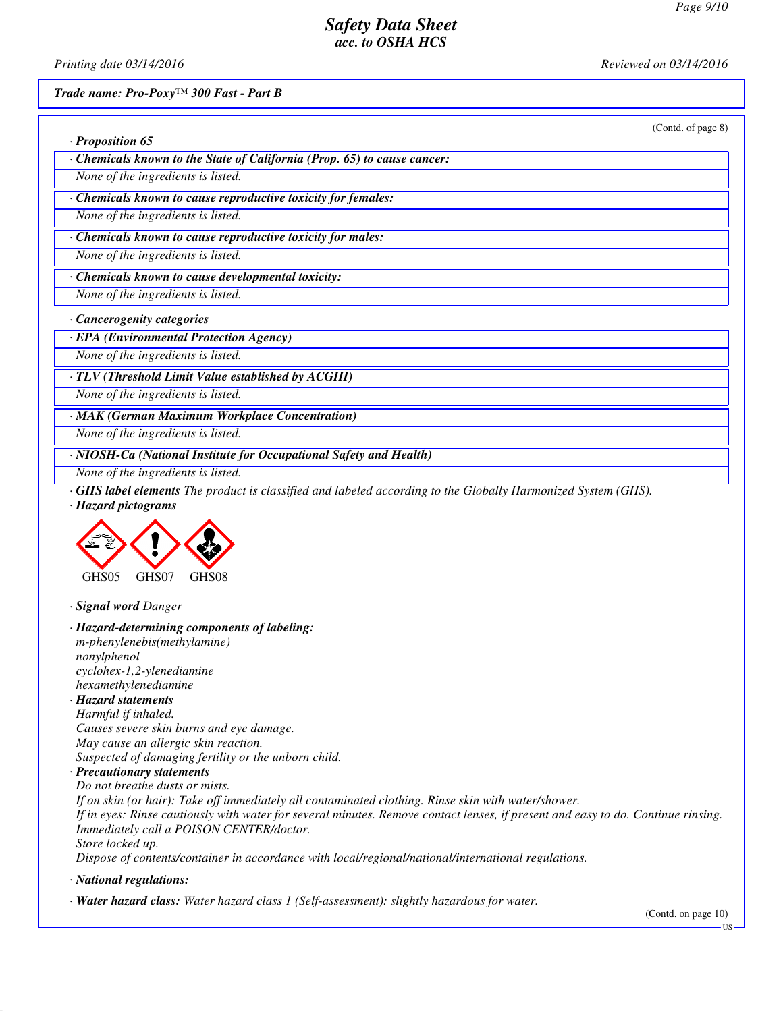(Contd. of page 8)

# *Safety Data Sheet acc. to OSHA HCS*

*Printing date 03/14/2016 Reviewed on 03/14/2016*

*· Proposition 65*

*Trade name: Pro-Poxy™ 300 Fast - Part B*

| Chemicals known to the State of California (Prop. 65) to cause cancer:                                                                                                                                                                                                                                                                                                                                                                                                                                                                                                                                                                                                                                                                                                                                                           |
|----------------------------------------------------------------------------------------------------------------------------------------------------------------------------------------------------------------------------------------------------------------------------------------------------------------------------------------------------------------------------------------------------------------------------------------------------------------------------------------------------------------------------------------------------------------------------------------------------------------------------------------------------------------------------------------------------------------------------------------------------------------------------------------------------------------------------------|
| None of the ingredients is listed.                                                                                                                                                                                                                                                                                                                                                                                                                                                                                                                                                                                                                                                                                                                                                                                               |
| Chemicals known to cause reproductive toxicity for females:                                                                                                                                                                                                                                                                                                                                                                                                                                                                                                                                                                                                                                                                                                                                                                      |
| None of the ingredients is listed.                                                                                                                                                                                                                                                                                                                                                                                                                                                                                                                                                                                                                                                                                                                                                                                               |
| Chemicals known to cause reproductive toxicity for males:                                                                                                                                                                                                                                                                                                                                                                                                                                                                                                                                                                                                                                                                                                                                                                        |
| None of the ingredients is listed.                                                                                                                                                                                                                                                                                                                                                                                                                                                                                                                                                                                                                                                                                                                                                                                               |
| Chemicals known to cause developmental toxicity:                                                                                                                                                                                                                                                                                                                                                                                                                                                                                                                                                                                                                                                                                                                                                                                 |
| None of the ingredients is listed.                                                                                                                                                                                                                                                                                                                                                                                                                                                                                                                                                                                                                                                                                                                                                                                               |
| · Cancerogenity categories                                                                                                                                                                                                                                                                                                                                                                                                                                                                                                                                                                                                                                                                                                                                                                                                       |
| · EPA (Environmental Protection Agency)                                                                                                                                                                                                                                                                                                                                                                                                                                                                                                                                                                                                                                                                                                                                                                                          |
| None of the ingredients is listed.                                                                                                                                                                                                                                                                                                                                                                                                                                                                                                                                                                                                                                                                                                                                                                                               |
| · TLV (Threshold Limit Value established by ACGIH)                                                                                                                                                                                                                                                                                                                                                                                                                                                                                                                                                                                                                                                                                                                                                                               |
| None of the ingredients is listed.                                                                                                                                                                                                                                                                                                                                                                                                                                                                                                                                                                                                                                                                                                                                                                                               |
| MAK (German Maximum Workplace Concentration)                                                                                                                                                                                                                                                                                                                                                                                                                                                                                                                                                                                                                                                                                                                                                                                     |
| None of the ingredients is listed.                                                                                                                                                                                                                                                                                                                                                                                                                                                                                                                                                                                                                                                                                                                                                                                               |
| · NIOSH-Ca (National Institute for Occupational Safety and Health)                                                                                                                                                                                                                                                                                                                                                                                                                                                                                                                                                                                                                                                                                                                                                               |
| None of the ingredients is listed.                                                                                                                                                                                                                                                                                                                                                                                                                                                                                                                                                                                                                                                                                                                                                                                               |
| · Hazard pictograms<br>GHS05<br>GHS07<br>GHS08                                                                                                                                                                                                                                                                                                                                                                                                                                                                                                                                                                                                                                                                                                                                                                                   |
| · Signal word Danger                                                                                                                                                                                                                                                                                                                                                                                                                                                                                                                                                                                                                                                                                                                                                                                                             |
| · Hazard-determining components of labeling:<br>m-phenylenebis(methylamine)<br>nonylphenol<br>cyclohex-1,2-ylenediamine<br>hexamethylenediamine<br><b>Hazard statements</b><br>Harmful if inhaled.<br>Causes severe skin burns and eye damage.<br>May cause an allergic skin reaction.<br>Suspected of damaging fertility or the unborn child.<br>· Precautionary statements<br>Do not breathe dusts or mists.<br>If on skin (or hair): Take off immediately all contaminated clothing. Rinse skin with water/shower.<br>If in eyes: Rinse cautiously with water for several minutes. Remove contact lenses, if present and easy to do. Continue rinsing.<br>Immediately call a POISON CENTER/doctor.<br>Store locked up.<br>Dispose of contents/container in accordance with local/regional/national/international regulations. |
| · National regulations:                                                                                                                                                                                                                                                                                                                                                                                                                                                                                                                                                                                                                                                                                                                                                                                                          |
| · Water hazard class: Water hazard class 1 (Self-assessment): slightly hazardous for water.<br>(Contd. on page 10)<br>- US                                                                                                                                                                                                                                                                                                                                                                                                                                                                                                                                                                                                                                                                                                       |